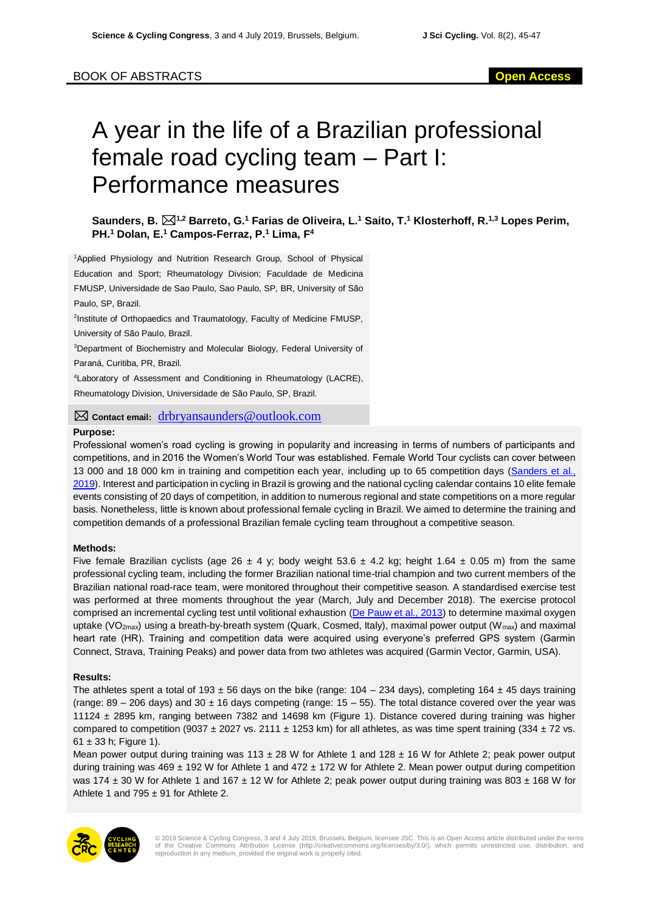## BOOK OF ABSTRACTS **Open Access**

# A year in the life of a Brazilian professional female road cycling team – Part I: Performance measures

**Saunders, B. 1,2 Barreto, G.<sup>1</sup> Farias de Oliveira, L.<sup>1</sup> Saito, T.<sup>1</sup> Klosterhoff, R.1,3 Lopes Perim, PH.<sup>1</sup> Dolan, E.<sup>1</sup> Campos-Ferraz, P.<sup>1</sup> Lima, F<sup>4</sup>**

<sup>1</sup>Applied Physiology and Nutrition Research Group, School of Physical Education and Sport; Rheumatology Division; Faculdade de Medicina FMUSP, Universidade de Sao Paulo, Sao Paulo, SP, BR, University of São Paulo, SP, Brazil.

<sup>2</sup>Institute of Orthopaedics and Traumatology, Faculty of Medicine FMUSP, University of São Paulo, Brazil.

<sup>3</sup>Department of Biochemistry and Molecular Biology, Federal University of Paraná, Curitiba, PR, Brazil.

<sup>4</sup>Laboratory of Assessment and Conditioning in Rheumatology (LACRE), Rheumatology Division, Universidade de São Paulo, SP, Brazil.

**Contact email:** drbryansaunders@outlook.com

#### **Purpose:**

Professional women's road cycling is growing in popularity and increasing in terms of numbers of participants and competitions, and in 2016 the Women's World Tour was established. Female World Tour cyclists can cover between 13 000 and 18 000 km in training and competition each year, including up to 65 competition days [\(Sanders et al.,](#page-2-0)  [2019\)](#page-2-0). Interest and participation in cycling in Brazil is growing and the national cycling calendar contains 10 elite female events consisting of 20 days of competition, in addition to numerous regional and state competitions on a more regular basis. Nonetheless, little is known about professional female cycling in Brazil. We aimed to determine the training and competition demands of a professional Brazilian female cycling team throughout a competitive season.

#### **Methods:**

Five female Brazilian cyclists (age 26 ± 4 y; body weight 53.6 ± 4.2 kg; height 1.64 ± 0.05 m) from the same professional cycling team, including the former Brazilian national time-trial champion and two current members of the Brazilian national road-race team, were monitored throughout their competitive season. A standardised exercise test was performed at three moments throughout the year (March, July and December 2018). The exercise protocol comprised an incremental cycling test until volitional exhaustion [\(De Pauw et al., 2013\)](#page-2-1) to determine maximal oxygen uptake (VO<sub>2max</sub>) using a breath-by-breath system (Quark, Cosmed, Italy), maximal power output (W<sub>max</sub>) and maximal heart rate (HR). Training and competition data were acquired using everyone's preferred GPS system (Garmin Connect, Strava, Training Peaks) and power data from two athletes was acquired (Garmin Vector, Garmin, USA).

#### **Results:**

The athletes spent a total of 193  $\pm$  56 days on the bike (range: 104 – 234 days), completing 164  $\pm$  45 days training (range:  $89 - 206$  days) and  $30 \pm 16$  days competing (range:  $15 - 55$ ). The total distance covered over the year was 11124 ± 2895 km, ranging between 7382 and 14698 km (Figure 1). Distance covered during training was higher compared to competition (9037  $\pm$  2027 vs. 2111  $\pm$  1253 km) for all athletes, as was time spent training (334  $\pm$  72 vs.  $61 \pm 33$  h: Figure 1).

Mean power output during training was 113  $\pm$  28 W for Athlete 1 and 128  $\pm$  16 W for Athlete 2; peak power output during training was 469  $\pm$  192 W for Athlete 1 and 472  $\pm$  172 W for Athlete 2. Mean power output during competition was 174  $\pm$  30 W for Athlete 1 and 167  $\pm$  12 W for Athlete 2; peak power output during training was 803  $\pm$  168 W for Athlete 1 and 795  $\pm$  91 for Athlete 2.



© 2019 Science & Cycling Congress, 3 and 4 July 2019, Brussels, Belgium, licensee JSC. This is an Open Access article distributed under the terms<br>of the Creative Commons Attribution License (http://creativecommons.org/lice reproduction in any medium, provided the original work is properly cited.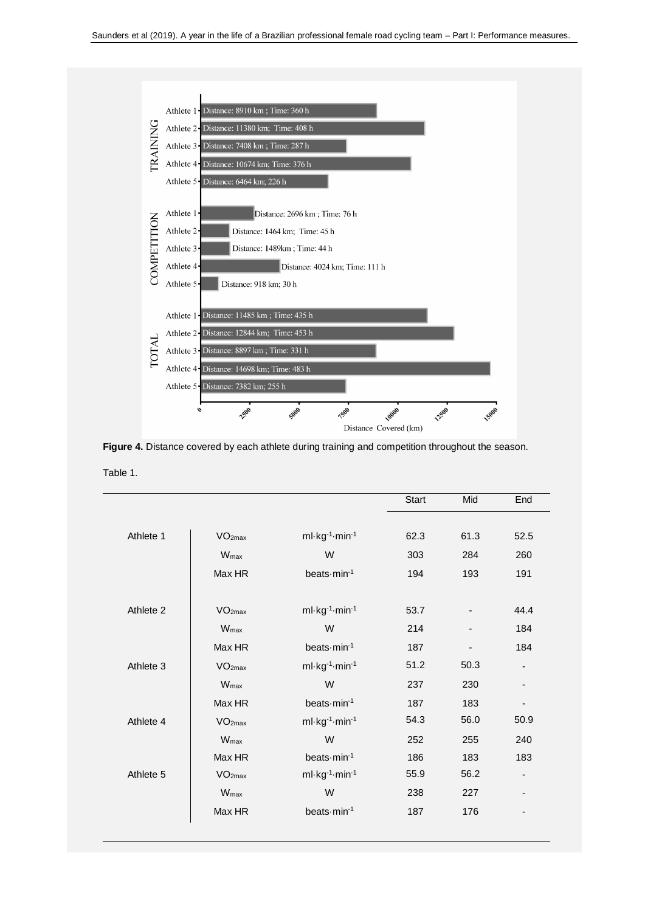

Figure 4. Distance covered by each athlete during training and competition throughout the season. Table 1.

|           |                    |               | Start | Mid  | End  |
|-----------|--------------------|---------------|-------|------|------|
|           |                    |               |       |      |      |
| Athlete 1 | VO <sub>2max</sub> | ml-kg-1-min-1 | 62.3  | 61.3 | 52.5 |
|           | $W_{\text{max}}$   | W             | 303   | 284  | 260  |
|           | Max HR             | beats-min-1   | 194   | 193  | 191  |
| Athlete 2 | VO <sub>2max</sub> | ml-kg-1-min-1 | 53.7  |      | 44.4 |
|           | W <sub>max</sub>   | W             | 214   | -    | 184  |
|           | Max HR             | beats-min-1   | 187   |      | 184  |
| Athlete 3 | VO <sub>2max</sub> | ml-kg-1-min-1 | 51.2  | 50.3 |      |
|           | W <sub>max</sub>   | W             | 237   | 230  |      |
|           | Max HR             | beats-min-1   | 187   | 183  |      |
| Athlete 4 | VO <sub>2max</sub> | ml-kg-1-min-1 | 54.3  | 56.0 | 50.9 |
|           | W <sub>max</sub>   | W             | 252   | 255  | 240  |
|           | Max HR             | beats-min-1   | 186   | 183  | 183  |
| Athlete 5 | VO <sub>2max</sub> | ml-kg-1-min-1 | 55.9  | 56.2 | ۰    |
|           | W <sub>max</sub>   | W             | 238   | 227  | ۰    |
|           | Max HR             | beats-min-1   | 187   | 176  | -    |
|           |                    |               |       |      |      |